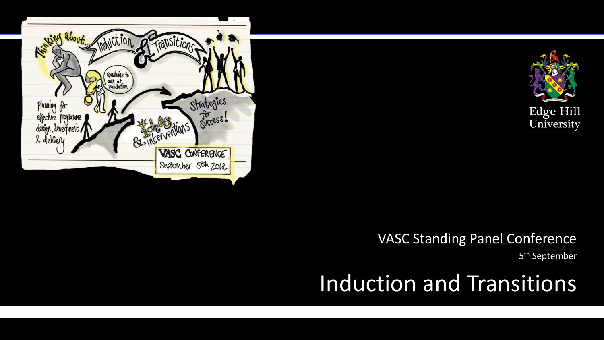



### VASC Standing Panel Conference

5<sup>th</sup> September

# Induction and Transitions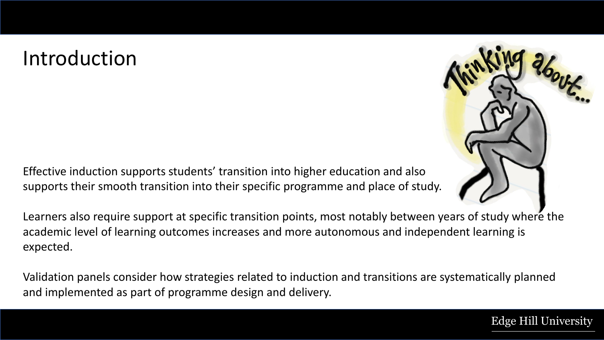### Introduction

Effective induction supports students' transition into higher education and also supports their smooth transition into their specific programme and place of study.

Learners also require support at specific transition points, most notably between years of study where the academic level of learning outcomes increases and more autonomous and independent learning is expected.

Validation panels consider how strategies related to induction and transitions are systematically planned and implemented as part of programme design and delivery.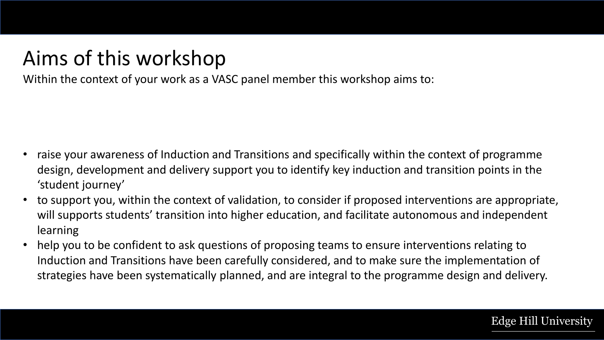### Aims of this workshop

Within the context of your work as a VASC panel member this workshop aims to:

- raise your awareness of Induction and Transitions and specifically within the context of programme design, development and delivery support you to identify key induction and transition points in the 'student journey'
- to support you, within the context of validation, to consider if proposed interventions are appropriate, will supports students' transition into higher education, and facilitate autonomous and independent learning
- help you to be confident to ask questions of proposing teams to ensure interventions relating to Induction and Transitions have been carefully considered, and to make sure the implementation of strategies have been systematically planned, and are integral to the programme design and delivery.

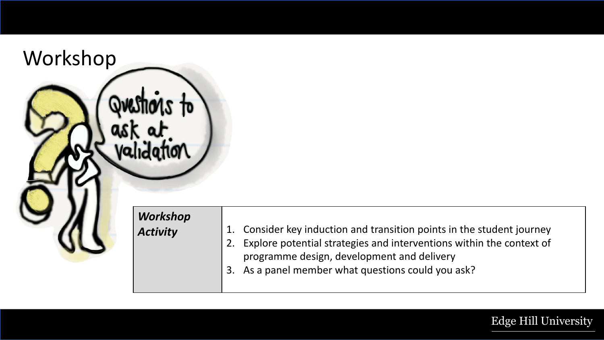Workshop Justi ioas to validation  $W$ o

| <b>Workshop</b><br>Activity | 1. Consider key induction and transition points in the student journey<br>Explore potential strategies and interventions within the context of<br>$-12.$ |
|-----------------------------|----------------------------------------------------------------------------------------------------------------------------------------------------------|
|                             | programme design, development and delivery<br>3. As a panel member what questions could you ask?                                                         |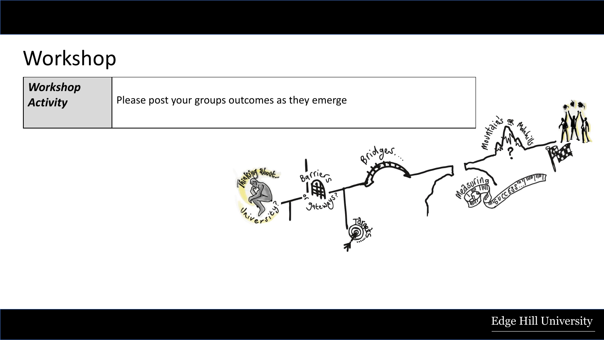### Workshop

| Workshop<br><b>Activity</b> | Please post your groups outcomes as they emerge                 |                     |
|-----------------------------|-----------------------------------------------------------------|---------------------|
|                             | .900<br>ፁላ<br><b>Jatewe</b><br>$\boldsymbol{\mathcal{U}}$<br>V. | Mount <sub>of</sub> |

Idra

hiversity

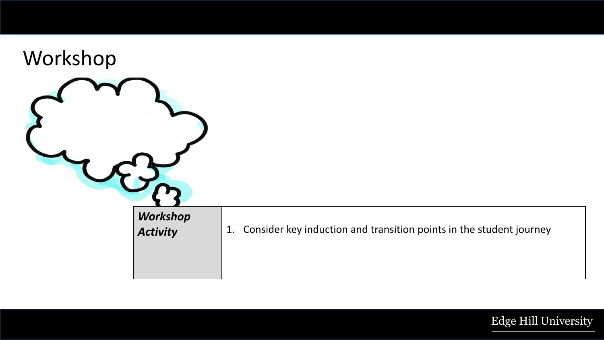| Workshop |                 |                                                                           |
|----------|-----------------|---------------------------------------------------------------------------|
|          | <b>Workshop</b> |                                                                           |
|          | <b>Activity</b> | Consider key induction and transition points in the student journey<br>1. |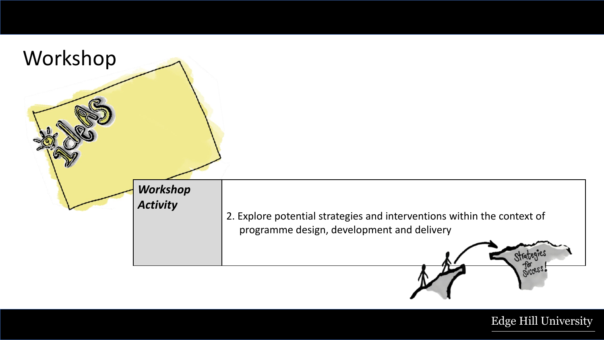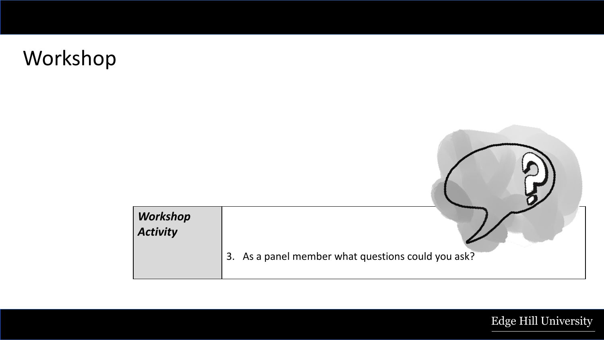# Workshop

| <b>Workshop</b><br><b>Activity</b> |                                                    |
|------------------------------------|----------------------------------------------------|
|                                    | 3. As a panel member what questions could you ask? |